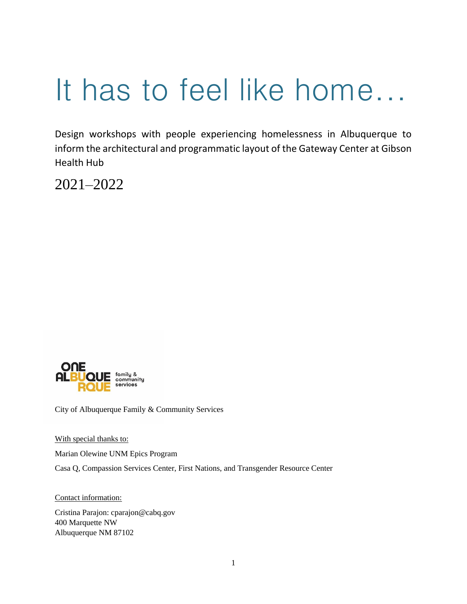# It has to feel like home...

Design workshops with people experiencing homelessness in Albuquerque to inform the architectural and programmatic layout of the Gateway Center at Gibson Health Hub

2021–2022



City of Albuquerque Family & Community Services

With special thanks to:

Marian Olewine UNM Epics Program

Casa Q, Compassion Services Center, First Nations, and Transgender Resource Center

Contact information:

Cristina Parajon: cparajon@cabq.gov 400 Marquette NW Albuquerque NM 87102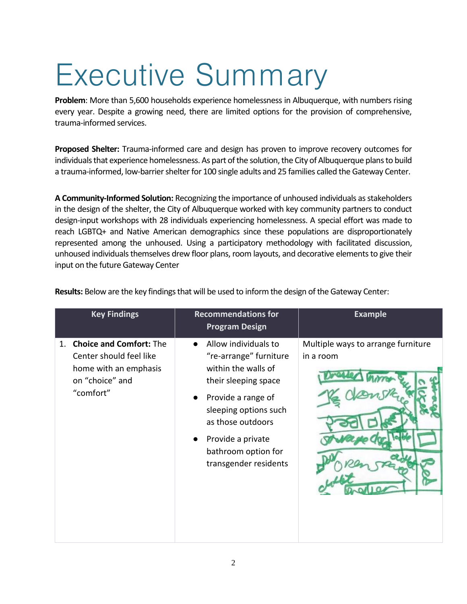# Executive Summary

**Problem**: More than 5,600 households experience homelessness in Albuquerque, with numbers rising every year. Despite a growing need, there are limited options for the provision of comprehensive, trauma-informed services.

**Proposed Shelter:** Trauma-informed care and design has proven to improve recovery outcomes for individuals that experience homelessness. As part of the solution, the City of Albuquerque plans to build a trauma-informed, low-barrier shelter for 100 single adults and 25 families called the Gateway Center.

**A Community-Informed Solution:** Recognizing the importance of unhoused individuals as stakeholders in the design of the shelter, the City of Albuquerque worked with key community partners to conduct design-input workshops with 28 individuals experiencing homelessness. A special effort was made to reach LGBTQ+ and Native American demographics since these populations are disproportionately represented among the unhoused. Using a participatory methodology with facilitated discussion, unhoused individuals themselves drew floor plans, room layouts, and decorative elements to give their input on the future Gateway Center

| <b>Key Findings</b>                                                                                                      | <b>Recommendations for</b><br><b>Program Design</b>                                                                                                                                                                                    | <b>Example</b>                                  |
|--------------------------------------------------------------------------------------------------------------------------|----------------------------------------------------------------------------------------------------------------------------------------------------------------------------------------------------------------------------------------|-------------------------------------------------|
| <b>Choice and Comfort: The</b><br>1.<br>Center should feel like<br>home with an emphasis<br>on "choice" and<br>"comfort" | Allow individuals to<br>"re-arrange" furniture<br>within the walls of<br>their sleeping space<br>Provide a range of<br>sleeping options such<br>as those outdoors<br>Provide a private<br>bathroom option for<br>transgender residents | Multiple ways to arrange furniture<br>in a room |

**Results:** Below are the key findings that will be used to inform the design of the Gateway Center: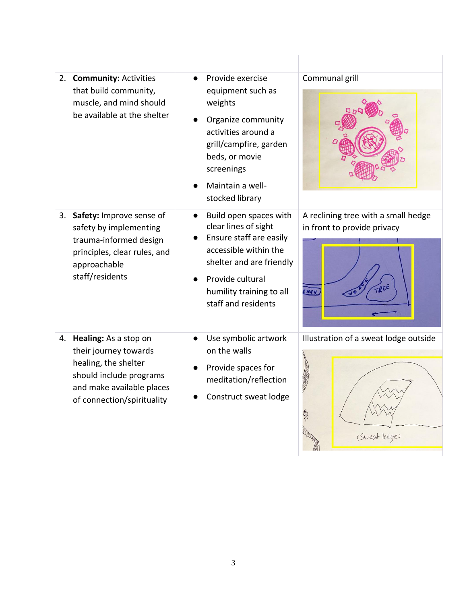|    | 2. Community: Activities<br>that build community,<br>muscle, and mind should<br>be available at the shelter                                                     | Provide exercise<br>equipment such as<br>weights<br>Organize community<br>activities around a<br>grill/campfire, garden<br>beds, or movie<br>screenings<br>Maintain a well-<br>stocked library        | Communal grill                                                                                                          |
|----|-----------------------------------------------------------------------------------------------------------------------------------------------------------------|-------------------------------------------------------------------------------------------------------------------------------------------------------------------------------------------------------|-------------------------------------------------------------------------------------------------------------------------|
| 3. | Safety: Improve sense of<br>safety by implementing<br>trauma-informed design<br>principles, clear rules, and<br>approachable<br>staff/residents                 | Build open spaces with<br>clear lines of sight<br>Ensure staff are easily<br>accessible within the<br>shelter and are friendly<br>Provide cultural<br>humility training to all<br>staff and residents | A reclining tree with a small hedge<br>in front to provide privacy<br>ENCH                                              |
|    | 4. Healing: As a stop on<br>their journey towards<br>healing, the shelter<br>should include programs<br>and make available places<br>of connection/spirituality | Use symbolic artwork<br>on the walls<br>Provide spaces for<br>meditation/reflection<br>Construct sweat lodge                                                                                          | Illustration of a sweat lodge outside<br>大学 のうかん かんじょう かんじょう かんじょう かんじょう かんじゅう かいじゅう かいじゅう かいじゅう かいしゅう<br>(Sweat lodge) |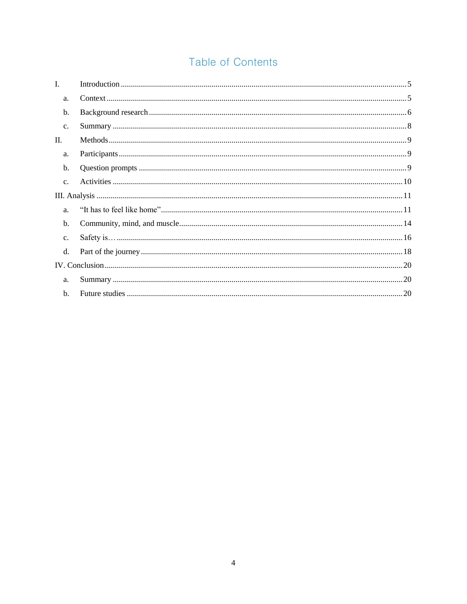# Table of Contents

| $\mathbf{I}$ . |  |
|----------------|--|
| a.             |  |
| b.             |  |
| c.             |  |
| II.            |  |
| a.             |  |
| b.             |  |
| c.             |  |
|                |  |
|                |  |
| a.             |  |
| b.             |  |
| c.             |  |
| d.             |  |
|                |  |
| a.             |  |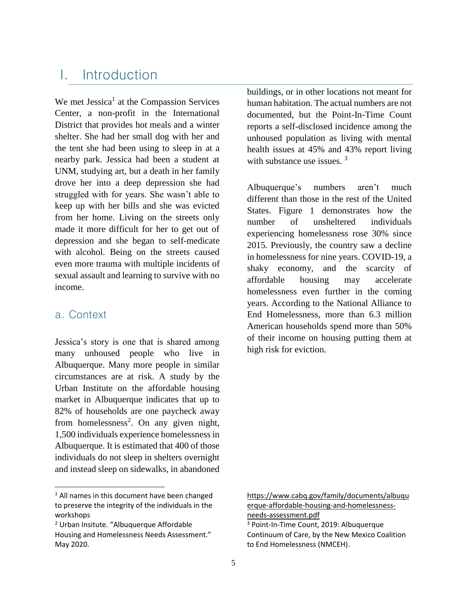# <span id="page-4-0"></span>I. Introduction

We met Jessica<sup>1</sup> at the Compassion Services Center, a non-profit in the International District that provides hot meals and a winter shelter. She had her small dog with her and the tent she had been using to sleep in at a nearby park. Jessica had been a student at UNM, studying art, but a death in her family drove her into a deep depression she had struggled with for years. She wasn't able to keep up with her bills and she was evicted from her home. Living on the streets only made it more difficult for her to get out of depression and she began to self-medicate with alcohol. Being on the streets caused even more trauma with multiple incidents of sexual assault and learning to survive with no income.

### <span id="page-4-1"></span>a. Context

 $\overline{a}$ 

Jessica's story is one that is shared among many unhoused people who live in Albuquerque. Many more people in similar circumstances are at risk. A study by the Urban Institute on the affordable housing market in Albuquerque indicates that up to 82% of households are one paycheck away from homelessness<sup>2</sup>. On any given night, 1,500 individuals experience homelessness in Albuquerque. It is estimated that 400 of those individuals do not sleep in shelters overnight and instead sleep on sidewalks, in abandoned

buildings, or in other locations not meant for human habitation. The actual numbers are not documented, but the Point-In-Time Count reports a self-disclosed incidence among the unhoused population as living with mental health issues at 45% and 43% report living with substance use issues.<sup>3</sup>

Albuquerque's numbers aren't much different than those in the rest of the United States. Figure 1 demonstrates how the number of unsheltered individuals experiencing homelessness rose 30% since 2015. Previously, the country saw a decline in homelessness for nine years. COVID-19, a shaky economy, and the scarcity of affordable housing may accelerate homelessness even further in the coming years. According to the National Alliance to End Homelessness, more than 6.3 million American households spend more than 50% of their income on housing putting them at high risk for eviction.

<sup>&</sup>lt;sup>1</sup> All names in this document have been changed to preserve the integrity of the individuals in the workshops

<sup>2</sup> Urban Insitute. "Albuquerque Affordable Housing and Homelessness Needs Assessment." May 2020.

[https://www.cabq.gov/family/documents/albuqu](https://www.cabq.gov/family/documents/albuquerque-affordable-housing-and-homelessness-needs-assessment.pdf) [erque-affordable-housing-and-homelessness](https://www.cabq.gov/family/documents/albuquerque-affordable-housing-and-homelessness-needs-assessment.pdf)[needs-assessment.pdf](https://www.cabq.gov/family/documents/albuquerque-affordable-housing-and-homelessness-needs-assessment.pdf)

<sup>3</sup> Point-In-Time Count, 2019: Albuquerque Continuum of Care, by the New Mexico Coalition to End Homelessness (NMCEH).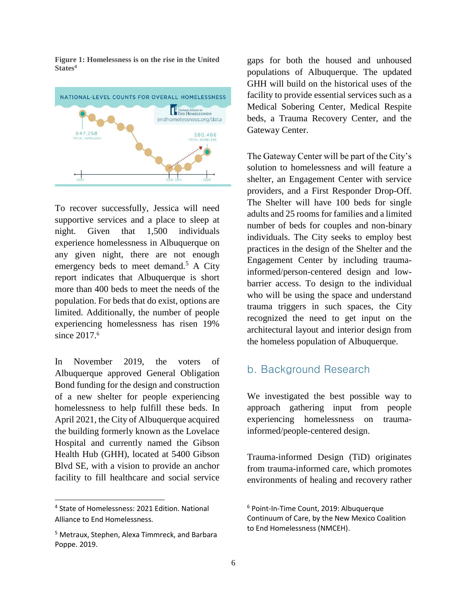**Figure 1: Homelessness is on the rise in the United States<sup>4</sup>**



To recover successfully, Jessica will need supportive services and a place to sleep at night. Given that 1,500 individuals experience homelessness in Albuquerque on any given night, there are not enough emergency beds to meet demand.<sup>5</sup> A City report indicates that Albuquerque is short more than 400 beds to meet the needs of the population. For beds that do exist, options are limited. Additionally, the number of people experiencing homelessness has risen 19% since 2017. 6

In November 2019, the voters of Albuquerque approved General Obligation Bond funding for the design and construction of a new shelter for people experiencing homelessness to help fulfill these beds. In April 2021, the City of Albuquerque acquired the building formerly known as the Lovelace Hospital and currently named the Gibson Health Hub (GHH), located at 5400 Gibson Blvd SE, with a vision to provide an anchor facility to fill healthcare and social service

l

gaps for both the housed and unhoused populations of Albuquerque. The updated GHH will build on the historical uses of the facility to provide essential services such as a Medical Sobering Center, Medical Respite beds, a Trauma Recovery Center, and the Gateway Center.

The Gateway Center will be part of the City's solution to homelessness and will feature a shelter, an Engagement Center with service providers, and a First Responder Drop-Off. The Shelter will have 100 beds for single adults and 25 rooms for families and a limited number of beds for couples and non-binary individuals. The City seeks to employ best practices in the design of the Shelter and the Engagement Center by including traumainformed/person-centered design and lowbarrier access. To design to the individual who will be using the space and understand trauma triggers in such spaces, the City recognized the need to get input on the architectural layout and interior design from the homeless population of Albuquerque.

#### <span id="page-5-0"></span>b. Background Research

We investigated the best possible way to approach gathering input from people experiencing homelessness on traumainformed/people-centered design.

Trauma-informed Design (TiD) originates from trauma-informed care, which promotes environments of healing and recovery rather

<sup>4</sup> State of Homelessness: 2021 Edition. National Alliance to End Homelessness.

<sup>5</sup> Metraux, Stephen, Alexa Timmreck, and Barbara Poppe. 2019.

<sup>6</sup> Point-In-Time Count, 2019: Albuquerque Continuum of Care, by the New Mexico Coalition to End Homelessness (NMCEH).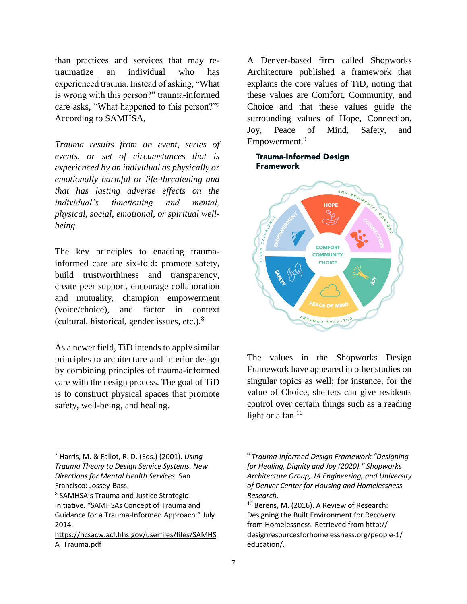than practices and services that may retraumatize an individual who has experienced trauma. Instead of asking, "What is wrong with this person?" trauma-informed care asks, "What happened to this person?"<sup>7</sup> According to SAMHSA,

*Trauma results from an event, series of events, or set of circumstances that is experienced by an individual as physically or emotionally harmful or life-threatening and that has lasting adverse effects on the individual's functioning and mental, physical, social, emotional, or spiritual wellbeing.*

The key principles to enacting traumainformed care are six-fold: promote safety, build trustworthiness and transparency, create peer support, encourage collaboration and mutuality, champion empowerment (voice/choice), and factor in context (cultural, historical, gender issues, etc.).<sup>8</sup>

As a newer field, TiD intends to apply similar principles to architecture and interior design by combining principles of trauma-informed care with the design process. The goal of TiD is to construct physical spaces that promote safety, well-being, and healing.

 $\overline{a}$ 

A Denver-based firm called Shopworks Architecture published a framework that explains the core values of TiD, noting that these values are Comfort, Community, and Choice and that these values guide the surrounding values of Hope, Connection, Joy, Peace of Mind, Safety, and Empowerment.<sup>9</sup>

#### **Trauma-Informed Design Framework**



The values in the Shopworks Design Framework have appeared in other studies on singular topics as well; for instance, for the value of Choice, shelters can give residents control over certain things such as a reading light or a fan. $10$ 

<sup>7</sup> Harris, M. & Fallot, R. D. (Eds.) (2001). *Using Trauma Theory to Design Service Systems. New Directions for Mental Health Services*. San Francisco: Jossey-Bass.

<sup>8</sup> SAMHSA's Trauma and Justice Strategic Initiative. "SAMHSAs Concept of Trauma and Guidance for a Trauma-Informed Approach." July 2014.

[https://ncsacw.acf.hhs.gov/userfiles/files/SAMHS](https://ncsacw.acf.hhs.gov/userfiles/files/SAMHSA_Trauma.pdf) [A\\_Trauma.pdf](https://ncsacw.acf.hhs.gov/userfiles/files/SAMHSA_Trauma.pdf)

<sup>9</sup> *Trauma-informed Design Framework "Designing for Healing, Dignity and Joy (2020)." Shopworks Architecture Group, 14 Engineering, and University of Denver Center for Housing and Homelessness Research.*

<sup>10</sup> Berens, M. (2016). A Review of Research: Designing the Built Environment for Recovery from Homelessness. Retrieved from http:// designresourcesforhomelessness.org/people-1/ education/.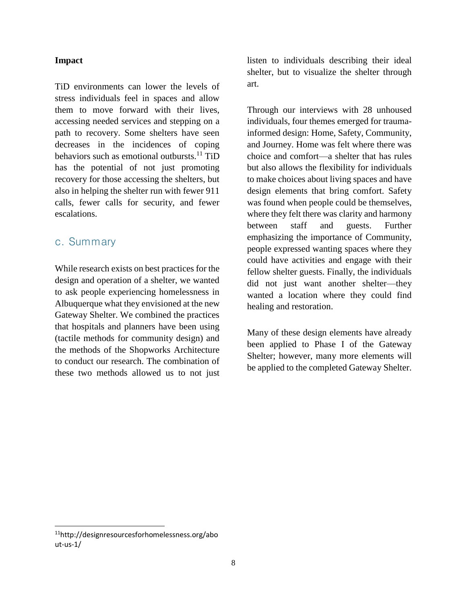#### **Impact**

TiD environments can lower the levels of stress individuals feel in spaces and allow them to move forward with their lives, accessing needed services and stepping on a path to recovery. Some shelters have seen decreases in the incidences of coping behaviors such as emotional outbursts.<sup>11</sup> TiD has the potential of not just promoting recovery for those accessing the shelters, but also in helping the shelter run with fewer 911 calls, fewer calls for security, and fewer escalations.

#### <span id="page-7-0"></span>c. Summary

While research exists on best practices for the design and operation of a shelter, we wanted to ask people experiencing homelessness in Albuquerque what they envisioned at the new Gateway Shelter. We combined the practices that hospitals and planners have been using (tactile methods for community design) and the methods of the Shopworks Architecture to conduct our research. The combination of these two methods allowed us to not just

listen to individuals describing their ideal shelter, but to visualize the shelter through art.

Through our interviews with 28 unhoused individuals, four themes emerged for traumainformed design: Home, Safety, Community, and Journey. Home was felt where there was choice and comfort—a shelter that has rules but also allows the flexibility for individuals to make choices about living spaces and have design elements that bring comfort. Safety was found when people could be themselves, where they felt there was clarity and harmony between staff and guests. Further emphasizing the importance of Community, people expressed wanting spaces where they could have activities and engage with their fellow shelter guests. Finally, the individuals did not just want another shelter—they wanted a location where they could find healing and restoration.

Many of these design elements have already been applied to Phase I of the Gateway Shelter; however, many more elements will be applied to the completed Gateway Shelter.

 $\overline{a}$ 

<sup>11</sup>http://designresourcesforhomelessness.org/abo ut-us-1/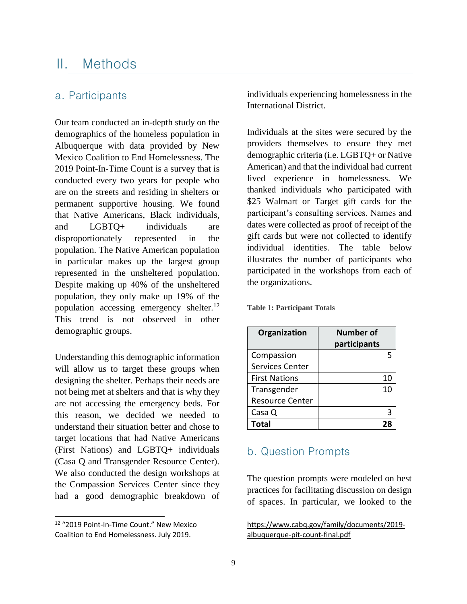## <span id="page-8-0"></span>II. Methods

## <span id="page-8-1"></span>a. Participants

Our team conducted an in-depth study on the demographics of the homeless population in Albuquerque with data provided by New Mexico Coalition to End Homelessness. The 2019 Point-In-Time Count is a survey that is conducted every two years for people who are on the streets and residing in shelters or permanent supportive housing. We found that Native Americans, Black individuals, and LGBTQ+ individuals are disproportionately represented in the population. The Native American population in particular makes up the largest group represented in the unsheltered population. Despite making up 40% of the unsheltered population, they only make up 19% of the population accessing emergency shelter. $12$ This trend is not observed in other demographic groups.

Understanding this demographic information will allow us to target these groups when designing the shelter. Perhaps their needs are not being met at shelters and that is why they are not accessing the emergency beds. For this reason, we decided we needed to understand their situation better and chose to target locations that had Native Americans (First Nations) and LGBTQ+ individuals (Casa Q and Transgender Resource Center). We also conducted the design workshops at the Compassion Services Center since they had a good demographic breakdown of

 $\overline{a}$ 

individuals experiencing homelessness in the International District.

Individuals at the sites were secured by the providers themselves to ensure they met demographic criteria (i.e. LGBTQ+ or Native American) and that the individual had current lived experience in homelessness. We thanked individuals who participated with \$25 Walmart or Target gift cards for the participant's consulting services. Names and dates were collected as proof of receipt of the gift cards but were not collected to identify individual identities. The table below illustrates the number of participants who participated in the workshops from each of the organizations.

| Organization           | Number of    |
|------------------------|--------------|
|                        | participants |
| Compassion             |              |
| <b>Services Center</b> |              |
| <b>First Nations</b>   | 10           |
| Transgender            | 10           |
| <b>Resource Center</b> |              |
| Casa Q                 |              |
| Total                  |              |

**Table 1: Participant Totals**

### <span id="page-8-2"></span>b. Question Prompts

The question prompts were modeled on best practices for facilitating discussion on design of spaces. In particular, we looked to the

[https://www.cabq.gov/family/documents/2019](https://www.cabq.gov/family/documents/2019-albuquerque-pit-count-final.pdf) [albuquerque-pit-count-final.pdf](https://www.cabq.gov/family/documents/2019-albuquerque-pit-count-final.pdf)

<sup>12</sup> "2019 Point-In-Time Count." New Mexico Coalition to End Homelessness. July 2019.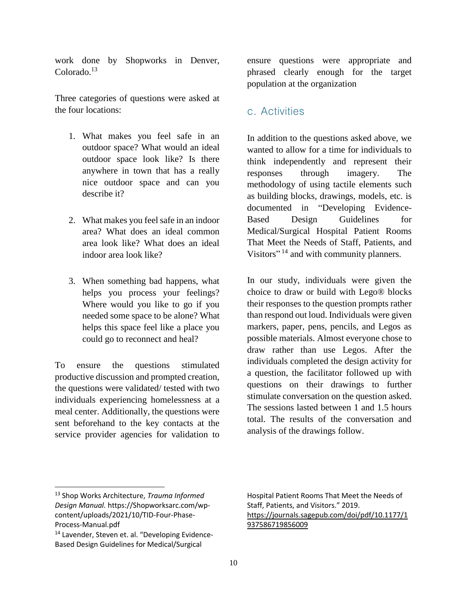work done by Shopworks in Denver, Colorado.<sup>13</sup>

Three categories of questions were asked at the four locations:

- 1. What makes you feel safe in an outdoor space? What would an ideal outdoor space look like? Is there anywhere in town that has a really nice outdoor space and can you describe it?
- 2. What makes you feel safe in an indoor area? What does an ideal common area look like? What does an ideal indoor area look like?
- 3. When something bad happens, what helps you process your feelings? Where would you like to go if you needed some space to be alone? What helps this space feel like a place you could go to reconnect and heal?

To ensure the questions stimulated productive discussion and prompted creation, the questions were validated/ tested with two individuals experiencing homelessness at a meal center. Additionally, the questions were sent beforehand to the key contacts at the service provider agencies for validation to

ensure questions were appropriate and phrased clearly enough for the target population at the organization

## <span id="page-9-0"></span>c. Activities

In addition to the questions asked above, we wanted to allow for a time for individuals to think independently and represent their responses through imagery. The methodology of using tactile elements such as building blocks, drawings, models, etc. is documented in "Developing Evidence-Based Design Guidelines for Medical/Surgical Hospital Patient Rooms That Meet the Needs of Staff, Patients, and Visitors"<sup>14</sup> and with community planners.

In our study, individuals were given the choice to draw or build with Lego® blocks their responses to the question prompts rather than respond out loud. Individuals were given markers, paper, pens, pencils, and Legos as possible materials. Almost everyone chose to draw rather than use Legos. After the individuals completed the design activity for a question, the facilitator followed up with questions on their drawings to further stimulate conversation on the question asked. The sessions lasted between 1 and 1.5 hours total. The results of the conversation and analysis of the drawings follow.

 $\overline{a}$ 

<sup>13</sup> Shop Works Architecture, *Trauma Informed Design Manual.* https://Shopworksarc.com/wpcontent/uploads/2021/10/TID-Four-Phase-Process-Manual.pdf

<sup>14</sup> Lavender, Steven et. al. "Developing Evidence-Based Design Guidelines for Medical/Surgical

Hospital Patient Rooms That Meet the Needs of Staff, Patients, and Visitors." 2019. [https://journals.sagepub.com/doi/pdf/10.1177/1](https://journals.sagepub.com/doi/pdf/10.1177/1937586719856009) [937586719856009](https://journals.sagepub.com/doi/pdf/10.1177/1937586719856009)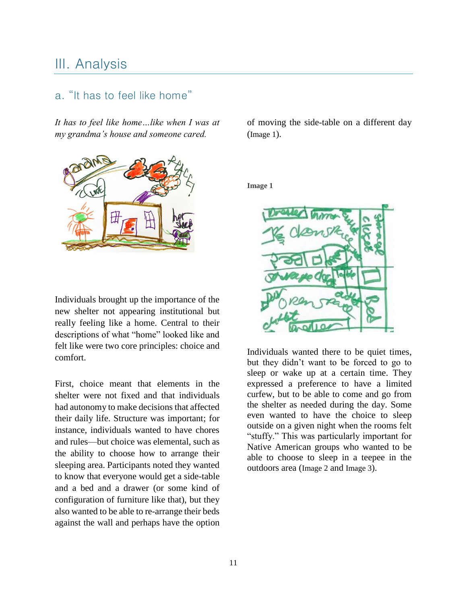## <span id="page-10-0"></span>III. Analysis

## <span id="page-10-1"></span>a. "It has to feel like home"

*It has to feel like home…like when I was at my grandma's house and someone cared.* 



Individuals brought up the importance of the new shelter not appearing institutional but really feeling like a home. Central to their descriptions of what "home" looked like and felt like were two core principles: choice and comfort.

First, choice meant that elements in the shelter were not fixed and that individuals had autonomy to make decisions that affected their daily life. Structure was important; for instance, individuals wanted to have chores and rules—but choice was elemental, such as the ability to choose how to arrange their sleeping area. Participants noted they wanted to know that everyone would get a side-table and a bed and a drawer (or some kind of configuration of furniture like that), but they also wanted to be able to re-arrange their beds against the wall and perhaps have the option of moving the side-table on a different day (Image 1).

**Image 1**



Individuals wanted there to be quiet times, but they didn't want to be forced to go to sleep or wake up at a certain time. They expressed a preference to have a limited curfew, but to be able to come and go from the shelter as needed during the day. Some even wanted to have the choice to sleep outside on a given night when the rooms felt "stuffy." This was particularly important for Native American groups who wanted to be able to choose to sleep in a teepee in the outdoors area (Image 2 and Image 3).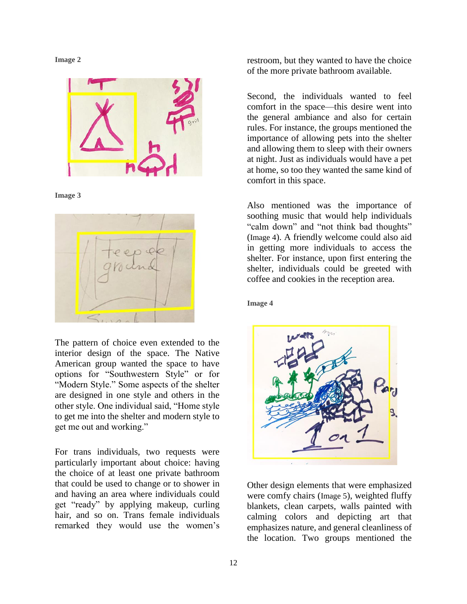



**Image 3**



The pattern of choice even extended to the interior design of the space. The Native American group wanted the space to have options for "Southwestern Style" or for "Modern Style." Some aspects of the shelter are designed in one style and others in the other style. One individual said, "Home style to get me into the shelter and modern style to get me out and working."

For trans individuals, two requests were particularly important about choice: having the choice of at least one private bathroom that could be used to change or to shower in and having an area where individuals could get "ready" by applying makeup, curling hair, and so on. Trans female individuals remarked they would use the women's

restroom, but they wanted to have the choice of the more private bathroom available.

Second, the individuals wanted to feel comfort in the space—this desire went into the general ambiance and also for certain rules. For instance, the groups mentioned the importance of allowing pets into the shelter and allowing them to sleep with their owners at night. Just as individuals would have a pet at home, so too they wanted the same kind of comfort in this space.

Also mentioned was the importance of soothing music that would help individuals "calm down" and "not think bad thoughts" (Image 4). A friendly welcome could also aid in getting more individuals to access the shelter. For instance, upon first entering the shelter, individuals could be greeted with coffee and cookies in the reception area.

#### **Image 4**



Other design elements that were emphasized were comfy chairs (Image 5), weighted fluffy blankets, clean carpets, walls painted with calming colors and depicting art that emphasizes nature, and general cleanliness of the location. Two groups mentioned the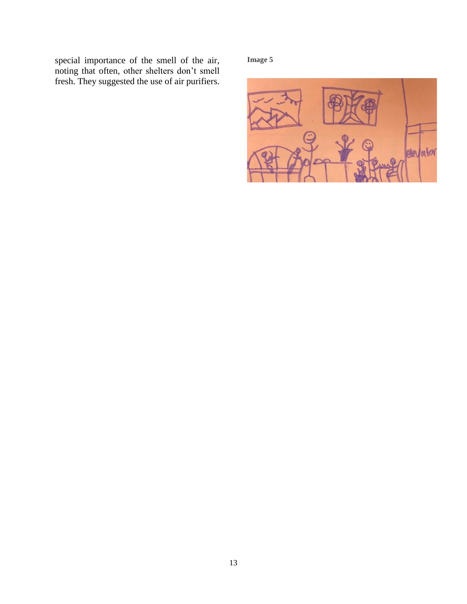special importance of the smell of the air, noting that often, other shelters don't smell fresh. They suggested the use of air purifiers.

**Image 5**

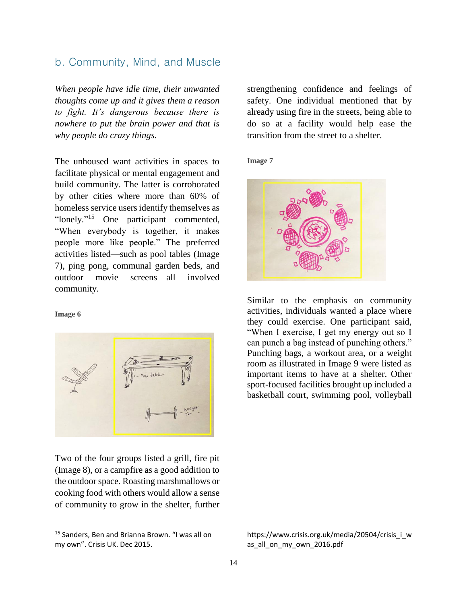## <span id="page-13-0"></span>b. Community, Mind, and Muscle

*When people have idle time, their unwanted thoughts come up and it gives them a reason to fight. It's dangerous because there is nowhere to put the brain power and that is why people do crazy things.*

The unhoused want activities in spaces to facilitate physical or mental engagement and build community. The latter is corroborated by other cities where more than 60% of homeless service users identify themselves as "lonely."<sup>15</sup> One participant commented, "When everybody is together, it makes people more like people." The preferred activities listed—such as pool tables (Image 7), ping pong, communal garden beds, and outdoor movie screens—all involved community.

#### **Image 6**

 $\overline{a}$ 



Two of the four groups listed a grill, fire pit (Image 8), or a campfire as a good addition to the outdoor space. Roasting marshmallows or cooking food with others would allow a sense of community to grow in the shelter, further

strengthening confidence and feelings of safety. One individual mentioned that by already using fire in the streets, being able to do so at a facility would help ease the transition from the street to a shelter.

**Image 7**



Similar to the emphasis on community activities, individuals wanted a place where they could exercise. One participant said, "When I exercise, I get my energy out so I can punch a bag instead of punching others." Punching bags, a workout area, or a weight room as illustrated in Image 9 were listed as important items to have at a shelter. Other sport-focused facilities brought up included a basketball court, swimming pool, volleyball

<sup>15</sup> Sanders, Ben and Brianna Brown. "I was all on my own". Crisis UK. Dec 2015.

https://www.crisis.org.uk/media/20504/crisis\_i\_w as all on my own 2016.pdf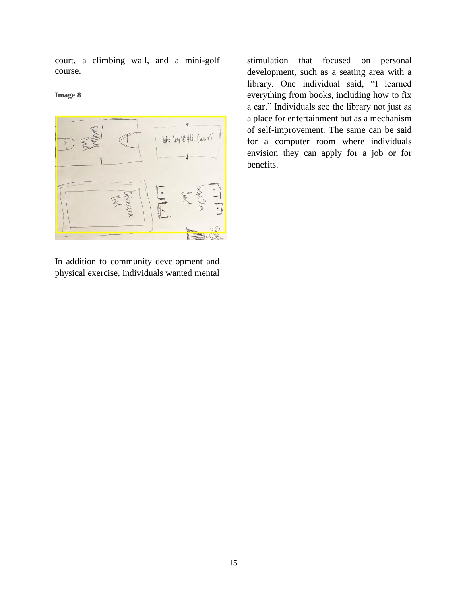court, a climbing wall, and a mini-golf course.

**Image 8**



In addition to community development and physical exercise, individuals wanted mental

stimulation that focused on personal development, such as a seating area with a library. One individual said, "I learned everything from books, including how to fix a car." Individuals see the library not just as a place for entertainment but as a mechanism of self-improvement. The same can be said for a computer room where individuals envision they can apply for a job or for benefits.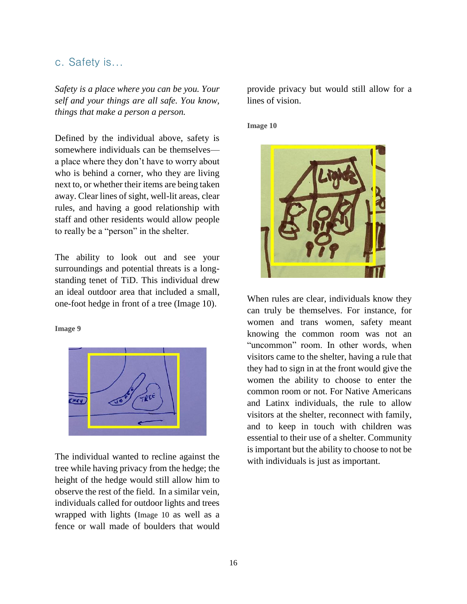#### <span id="page-15-0"></span>c. Safety is...

*Safety is a place where you can be you. Your self and your things are all safe. You know, things that make a person a person.*

Defined by the individual above, safety is somewhere individuals can be themselves a place where they don't have to worry about who is behind a corner, who they are living next to, or whether their items are being taken away. Clear lines of sight, well-lit areas, clear rules, and having a good relationship with staff and other residents would allow people to really be a "person" in the shelter.

The ability to look out and see your surroundings and potential threats is a longstanding tenet of TiD. This individual drew an ideal outdoor area that included a small, one-foot hedge in front of a tree (Image 10).

#### **Image 9**



The individual wanted to recline against the tree while having privacy from the hedge; the height of the hedge would still allow him to observe the rest of the field. In a similar vein, individuals called for outdoor lights and trees wrapped with lights (Image 10 as well as a fence or wall made of boulders that would

provide privacy but would still allow for a lines of vision.

#### **Image 10**



When rules are clear, individuals know they can truly be themselves. For instance, for women and trans women, safety meant knowing the common room was not an "uncommon" room. In other words, when visitors came to the shelter, having a rule that they had to sign in at the front would give the women the ability to choose to enter the common room or not. For Native Americans and Latinx individuals, the rule to allow visitors at the shelter, reconnect with family, and to keep in touch with children was essential to their use of a shelter. Community is important but the ability to choose to not be with individuals is just as important.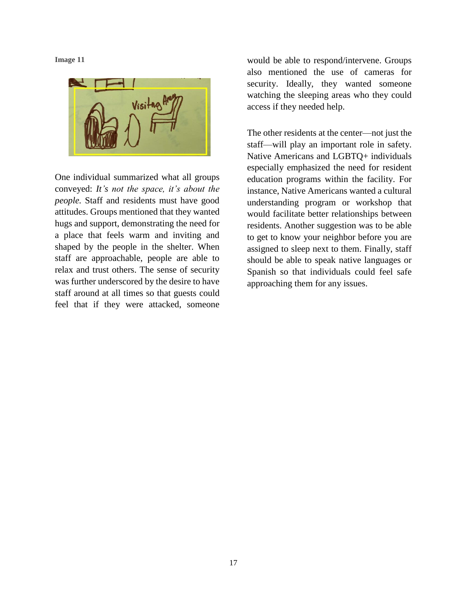**Image 11**



One individual summarized what all groups conveyed: *It's not the space, it's about the people.* Staff and residents must have good attitudes. Groups mentioned that they wanted hugs and support, demonstrating the need for a place that feels warm and inviting and shaped by the people in the shelter. When staff are approachable, people are able to relax and trust others. The sense of security was further underscored by the desire to have staff around at all times so that guests could feel that if they were attacked, someone

would be able to respond/intervene. Groups also mentioned the use of cameras for security. Ideally, they wanted someone watching the sleeping areas who they could access if they needed help.

The other residents at the center—not just the staff—will play an important role in safety. Native Americans and LGBTQ+ individuals especially emphasized the need for resident education programs within the facility. For instance, Native Americans wanted a cultural understanding program or workshop that would facilitate better relationships between residents. Another suggestion was to be able to get to know your neighbor before you are assigned to sleep next to them. Finally, staff should be able to speak native languages or Spanish so that individuals could feel safe approaching them for any issues.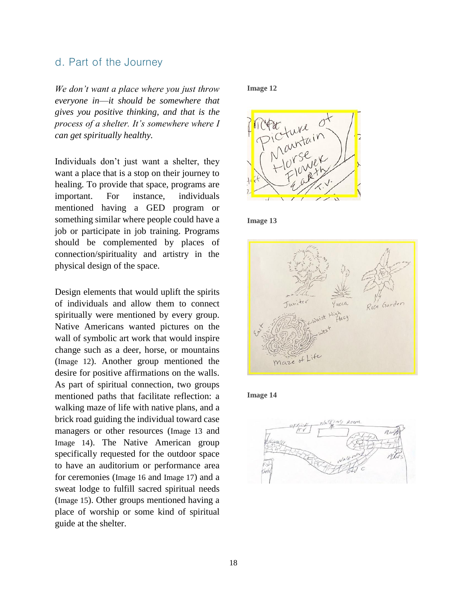#### <span id="page-17-0"></span>d. Part of the Journey

*We don't want a place where you just throw everyone in*—*it should be somewhere that gives you positive thinking, and that is the process of a shelter. It's somewhere where I can get spiritually healthy.*

Individuals don't just want a shelter, they want a place that is a stop on their journey to healing. To provide that space, programs are important. For instance, individuals mentioned having a GED program or something similar where people could have a job or participate in job training. Programs should be complemented by places of connection/spirituality and artistry in the physical design of the space.

Design elements that would uplift the spirits of individuals and allow them to connect spiritually were mentioned by every group. Native Americans wanted pictures on the wall of symbolic art work that would inspire change such as a deer, horse, or mountains (Image 12). Another group mentioned the desire for positive affirmations on the walls. As part of spiritual connection, two groups mentioned paths that facilitate reflection: a walking maze of life with native plans, and a brick road guiding the individual toward case managers or other resources (Image 13 and Image 14). The Native American group specifically requested for the outdoor space to have an auditorium or performance area for ceremonies (Image 16 and Image 17) and a sweat lodge to fulfill sacred spiritual needs (Image 15). Other groups mentioned having a place of worship or some kind of spiritual guide at the shelter.

#### **Image 12**



**Image 13**





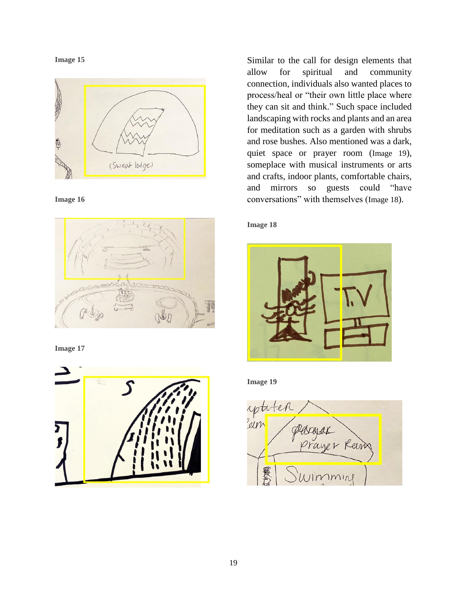**Image 15**



**Image 16**



**Image 17**



Similar to the call for design elements that allow for spiritual and community connection, individuals also wanted places to process/heal or "their own little place where they can sit and think." Such space included landscaping with rocks and plants and an area for meditation such as a garden with shrubs and rose bushes. Also mentioned was a dark, quiet space or prayer room (Image 19), someplace with musical instruments or arts and crafts, indoor plants, comfortable chairs, and mirrors so guests could "have conversations" with themselves (Image 18).

#### **Image 18**



**Image 19**